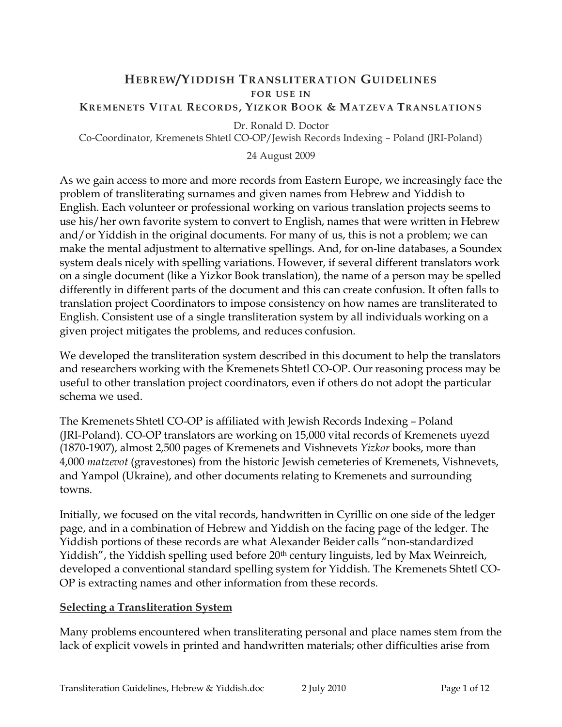#### HEBREW/YIDDISH TRANSLITERATION GUIDELINES **FOR USE IN** KREMENETS VITAL RECORDS, YIZKOR BOOK & MATZEVA TRANSLATIONS

Dr. Ronald D. Doctor

Co-Coordinator, Kremenets Shtetl CO-OP/Jewish Records Indexing – Poland (JRI-Poland)

#### 24 August 2009

As we gain access to more and more records from Eastern Europe, we increasingly face the problem of transliterating surnames and given names from Hebrew and Yiddish to English. Each volunteer or professional working on various translation projects seems to use his/her own favorite system to convert to English, names that were written in Hebrew and/or Yiddish in the original documents. For many of us, this is not a problem; we can make the mental adjustment to alternative spellings. And, for on-line databases, a Soundex system deals nicely with spelling variations. However, if several different translators work on a single document (like a Yizkor Book translation), the name of a person may be spelled differently in different parts of the document and this can create confusion. It often falls to translation project Coordinators to impose consistency on how names are transliterated to English. Consistent use of a single transliteration system by all individuals working on a given project mitigates the problems, and reduces confusion.

We developed the transliteration system described in this document to help the translators and researchers working with the Kremenets Shtetl CO-OP. Our reasoning process may be useful to other translation project coordinators, even if others do not adopt the particular schema we used.

The Kremenets Shtetl CO-OP is affiliated with Jewish Records Indexing – Poland (JRI-Poland). CO-OP translators are working on 15,000 vital records of Kremenets uyezd (1870-1907), almost 2,500 pages of Kremenets and Vishnevets Yizkor books, more than 4,000 matzevot (gravestones) from the historic Jewish cemeteries of Kremenets, Vishnevets, and Yampol (Ukraine), and other documents relating to Kremenets and surrounding towns.

Initially, we focused on the vital records, handwritten in Cyrillic on one side of the ledger page, and in a combination of Hebrew and Yiddish on the facing page of the ledger. The Yiddish portions of these records are what Alexander Beider calls "non-standardized Yiddish", the Yiddish spelling used before 20<sup>th</sup> century linguists, led by Max Weinreich, developed a conventional standard spelling system for Yiddish. The Kremenets Shtetl CO-OP is extracting names and other information from these records.

#### Selecting a Transliteration System

Many problems encountered when transliterating personal and place names stem from the lack of explicit vowels in printed and handwritten materials; other difficulties arise from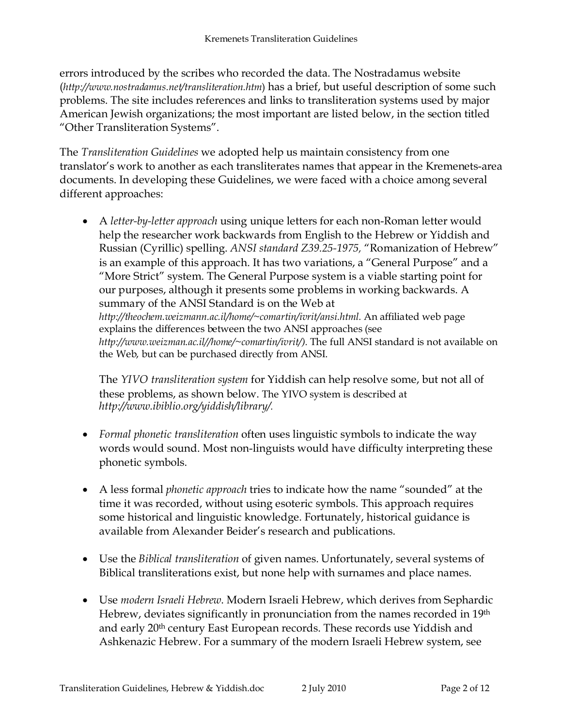errors introduced by the scribes who recorded the data. The Nostradamus website (http://www.nostradamus.net/transliteration.htm) has a brief, but useful description of some such problems. The site includes references and links to transliteration systems used by major American Jewish organizations; the most important are listed below, in the section titled "Other Transliteration Systems".

The Transliteration Guidelines we adopted help us maintain consistency from one translator's work to another as each transliterates names that appear in the Kremenets-area documents. In developing these Guidelines, we were faced with a choice among several different approaches:

• A letter-by-letter approach using unique letters for each non-Roman letter would help the researcher work backwards from English to the Hebrew or Yiddish and Russian (Cyrillic) spelling. ANSI standard Z39.25-1975, "Romanization of Hebrew" is an example of this approach. It has two variations, a "General Purpose" and a "More Strict" system. The General Purpose system is a viable starting point for our purposes, although it presents some problems in working backwards. A summary of the ANSI Standard is on the Web at http://theochem.weizmann.ac.il/home/~comartin/ivrit/ansi.html. An affiliated web page explains the differences between the two ANSI approaches (see http://www.weizman.ac.il//home/~comartin/ivrit/). The full ANSI standard is not available on the Web, but can be purchased directly from ANSI.

The YIVO transliteration system for Yiddish can help resolve some, but not all of these problems, as shown below. The YIVO system is described at http://www.ibiblio.org/yiddish/library/.

- Formal phonetic transliteration often uses linguistic symbols to indicate the way words would sound. Most non-linguists would have difficulty interpreting these phonetic symbols.
- A less formal *phonetic approach* tries to indicate how the name "sounded" at the time it was recorded, without using esoteric symbols. This approach requires some historical and linguistic knowledge. Fortunately, historical guidance is available from Alexander Beider's research and publications.
- Use the Biblical transliteration of given names. Unfortunately, several systems of Biblical transliterations exist, but none help with surnames and place names.
- Use modern Israeli Hebrew. Modern Israeli Hebrew, which derives from Sephardic Hebrew, deviates significantly in pronunciation from the names recorded in 19th and early 20th century East European records. These records use Yiddish and Ashkenazic Hebrew. For a summary of the modern Israeli Hebrew system, see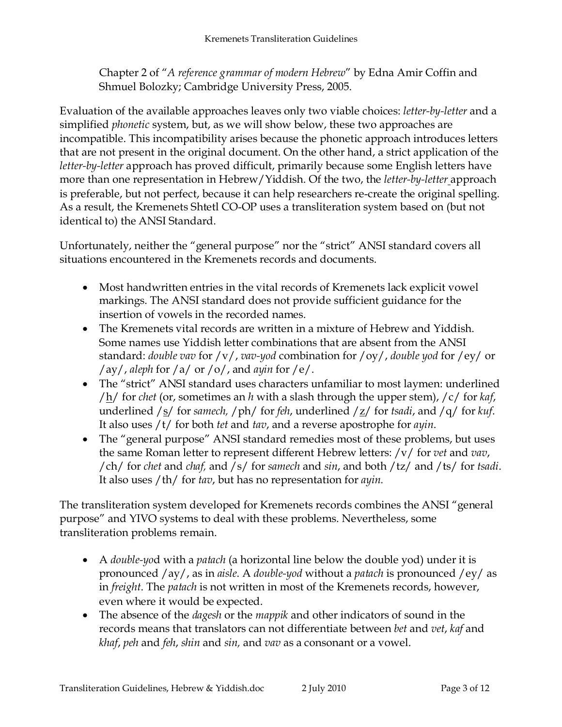Chapter 2 of "A reference grammar of modern Hebrew" by Edna Amir Coffin and Shmuel Bolozky; Cambridge University Press, 2005.

Evaluation of the available approaches leaves only two viable choices: letter-by-letter and a simplified phonetic system, but, as we will show below, these two approaches are incompatible. This incompatibility arises because the phonetic approach introduces letters that are not present in the original document. On the other hand, a strict application of the letter-by-letter approach has proved difficult, primarily because some English letters have more than one representation in Hebrew/Yiddish. Of the two, the letter-by-letter approach is preferable, but not perfect, because it can help researchers re-create the original spelling. As a result, the Kremenets Shtetl CO-OP uses a transliteration system based on (but not identical to) the ANSI Standard.

Unfortunately, neither the "general purpose" nor the "strict" ANSI standard covers all situations encountered in the Kremenets records and documents.

- Most handwritten entries in the vital records of Kremenets lack explicit vowel markings. The ANSI standard does not provide sufficient guidance for the insertion of vowels in the recorded names.
- The Kremenets vital records are written in a mixture of Hebrew and Yiddish. Some names use Yiddish letter combinations that are absent from the ANSI standard: *double vav* for  $/v/$ , *vav-yod* combination for  $/oy/$ , *double yod* for  $/ey/$  or /ay/, aleph for /a/ or /o/, and ayin for /e/.
- The "strict" ANSI standard uses characters unfamiliar to most laymen: underlined  $/\underline{h}$  for chet (or, sometimes an h with a slash through the upper stem),  $/c$  for kaf, underlined /s/ for samech, /ph/ for feh, underlined /z/ for tsadi, and /q/ for kuf. It also uses /t/ for both tet and tav, and a reverse apostrophe for ayin.
- The "general purpose" ANSI standard remedies most of these problems, but uses the same Roman letter to represent different Hebrew letters:  $/v/$  for *vet* and *vav*, /ch/ for chet and chaf, and /s/ for samech and sin, and both /tz/ and /ts/ for tsadi. It also uses /th/ for tav, but has no representation for ayin.

The transliteration system developed for Kremenets records combines the ANSI "general purpose" and YIVO systems to deal with these problems. Nevertheless, some transliteration problems remain.

- A *double-yod* with a *patach* (a horizontal line below the double yod) under it is pronounced /ay/, as in aisle. A double-yod without a patach is pronounced /ey/ as in freight. The patach is not written in most of the Kremenets records, however, even where it would be expected.
- The absence of the *dagesh* or the *mappik* and other indicators of sound in the records means that translators can not differentiate between bet and vet, kaf and khaf, peh and feh, shin and sin, and vav as a consonant or a vowel.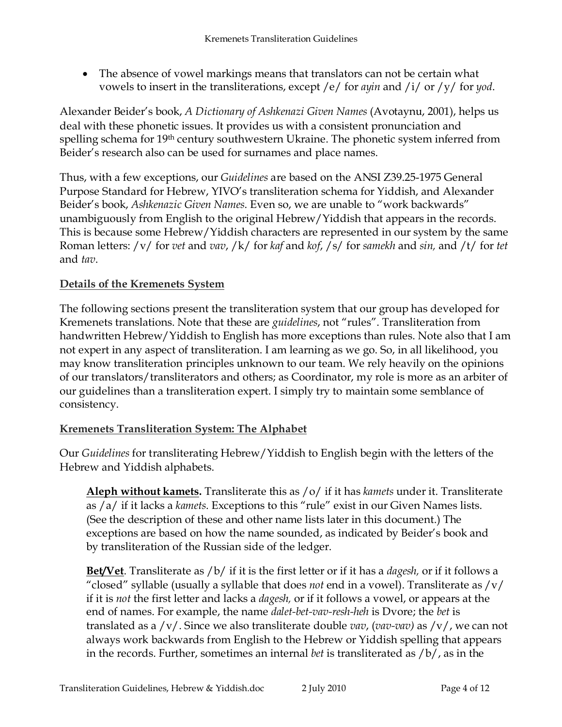• The absence of vowel markings means that translators can not be certain what vowels to insert in the transliterations, except /e/ for *ayin* and /i/ or /y/ for *yod*.

Alexander Beider's book, A Dictionary of Ashkenazi Given Names (Avotaynu, 2001), helps us deal with these phonetic issues. It provides us with a consistent pronunciation and spelling schema for 19th century southwestern Ukraine. The phonetic system inferred from Beider's research also can be used for surnames and place names.

Thus, with a few exceptions, our Guidelines are based on the ANSI Z39.25-1975 General Purpose Standard for Hebrew, YIVO's transliteration schema for Yiddish, and Alexander Beider's book, Ashkenazic Given Names. Even so, we are unable to "work backwards" unambiguously from English to the original Hebrew/Yiddish that appears in the records. This is because some Hebrew/Yiddish characters are represented in our system by the same Roman letters:  $/v/$  for *vet* and *vav*,  $/k/$  for kaf and kof,  $/s/$  for samekh and sin, and  $/t/$  for tet and tav.

## Details of the Kremenets System

The following sections present the transliteration system that our group has developed for Kremenets translations. Note that these are *guidelines*, not "rules". Transliteration from handwritten Hebrew/Yiddish to English has more exceptions than rules. Note also that I am not expert in any aspect of transliteration. I am learning as we go. So, in all likelihood, you may know transliteration principles unknown to our team. We rely heavily on the opinions of our translators/transliterators and others; as Coordinator, my role is more as an arbiter of our guidelines than a transliteration expert. I simply try to maintain some semblance of consistency.

## Kremenets Transliteration System: The Alphabet

Our Guidelines for transliterating Hebrew/Yiddish to English begin with the letters of the Hebrew and Yiddish alphabets.

Aleph without kamets. Transliterate this as  $\frac{1}{2}$  of it it has kamets under it. Transliterate as /a/ if it lacks a kamets. Exceptions to this "rule" exist in our Given Names lists. (See the description of these and other name lists later in this document.) The exceptions are based on how the name sounded, as indicated by Beider's book and by transliteration of the Russian side of the ledger.

**Bet/Vet**. Transliterate as  $\frac{b}{i}$  if it is the first letter or if it has a *dagesh*, or if it follows a "closed" syllable (usually a syllable that does *not* end in a vowel). Transliterate as  $/v/$ if it is *not* the first letter and lacks a *dagesh*, or if it follows a vowel, or appears at the end of names. For example, the name *dalet-bet-vav-resh-heh* is Dvore; the *bet* is translated as a  $/v/$ . Since we also transliterate double *vav*, (*vav-vav*) as  $/v/$ , we can not always work backwards from English to the Hebrew or Yiddish spelling that appears in the records. Further, sometimes an internal bet is transliterated as  $/b/$ , as in the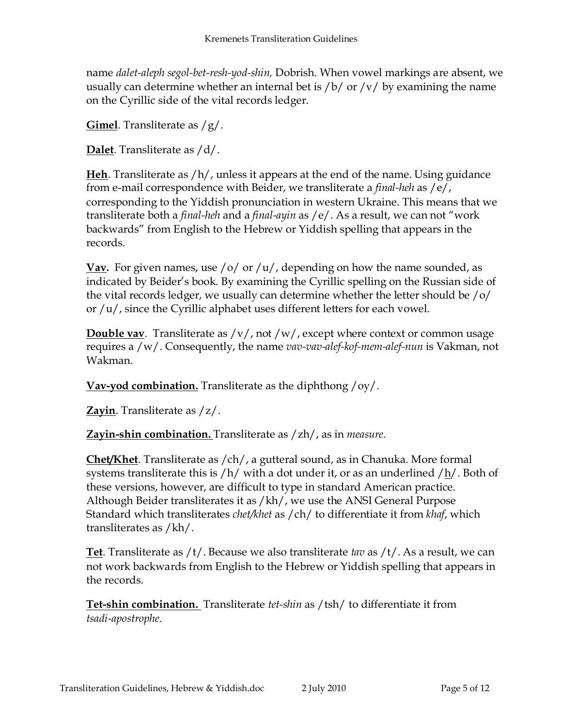name dalet-aleph segol-bet-resh-yod-shin, Dobrish. When vowel markings are absent, we usually can determine whether an internal bet is  $/b/$  or  $/v/$  by examining the name on the Cyrillic side of the vital records ledger.

**Gimel**. Transliterate as  $/g/$ .

**Dalet**. Transliterate as  $/d/$ .

**Heh.** Transliterate as  $/h/$ , unless it appears at the end of the name. Using guidance from e-mail correspondence with Beider, we transliterate a *final-heh* as  $/e/$ , corresponding to the Yiddish pronunciation in western Ukraine. This means that we transliterate both a *final-heh* and a *final-ayin* as  $/e/$ . As a result, we can not "work backwards" from English to the Hebrew or Yiddish spelling that appears in the records.

**Vav.** For given names, use /o/ or /u/, depending on how the name sounded, as indicated by Beider's book. By examining the Cyrillic spelling on the Russian side of the vital records ledger, we usually can determine whether the letter should be /o/ or /u/, since the Cyrillic alphabet uses different letters for each vowel.

**Double vav.** Transliterate as  $/v/$ , not  $/w/$ , except where context or common usage requires a /w/. Consequently, the name vav-vav-alef-kof-mem-alef-nun is Vakman, not Wakman.

Vav-yod combination. Transliterate as the diphthong  $/oy/$ .

Zayin. Transliterate as  $\langle z \rangle$ .

**Zayin-shin combination.** Transliterate as  $\langle$  zh $/$ , as in *measure*.

Chet/Khet. Transliterate as /ch/, a gutteral sound, as in Chanuka. More formal systems transliterate this is  $/h/$  with a dot under it, or as an underlined  $/h/$ . Both of these versions, however, are difficult to type in standard American practice. Although Beider transliterates it as /kh/, we use the ANSI General Purpose Standard which transliterates *chet/khet* as / ch/ to differentiate it from *khaf*, which transliterates as /kh/.

**Tet.** Transliterate as  $/t/$ . Because we also transliterate tav as  $/t/$ . As a result, we can not work backwards from English to the Hebrew or Yiddish spelling that appears in the records.

Tet-shin combination. Transliterate tet-shin as /tsh/ to differentiate it from tsadi-apostrophe.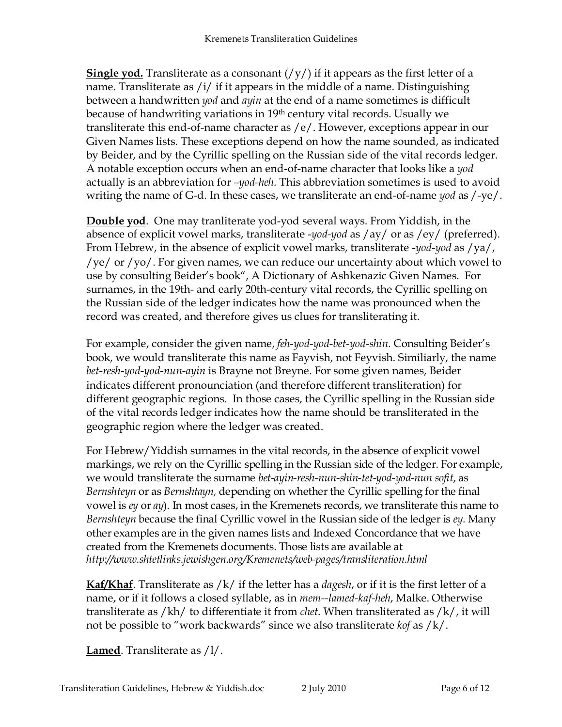**Single yod.** Transliterate as a consonant  $(yy)$  if it appears as the first letter of a name. Transliterate as /i/ if it appears in the middle of a name. Distinguishing between a handwritten *yod* and *ayin* at the end of a name sometimes is difficult because of handwriting variations in 19th century vital records. Usually we transliterate this end-of-name character as /e/. However, exceptions appear in our Given Names lists. These exceptions depend on how the name sounded, as indicated by Beider, and by the Cyrillic spelling on the Russian side of the vital records ledger. A notable exception occurs when an end-of-name character that looks like a yod actually is an abbreviation for -yod-heh. This abbreviation sometimes is used to avoid writing the name of G-d. In these cases, we transliterate an end-of-name yod as  $/$ -ye $/$ .

Double yod. One may tranliterate yod-yod several ways. From Yiddish, in the absence of explicit vowel marks, transliterate -yod-yod as /ay/ or as /ey/ (preferred). From Hebrew, in the absence of explicit vowel marks, transliterate -yod-yod as /ya/, /ye/ or /yo/. For given names, we can reduce our uncertainty about which vowel to use by consulting Beider's book", A Dictionary of Ashkenazic Given Names. For surnames, in the 19th- and early 20th-century vital records, the Cyrillic spelling on the Russian side of the ledger indicates how the name was pronounced when the record was created, and therefore gives us clues for transliterating it.

For example, consider the given name, feh-yod-yod-bet-yod-shin. Consulting Beider's book, we would transliterate this name as Fayvish, not Feyvish. Similiarly, the name bet-resh-yod-yod-nun-ayin is Brayne not Breyne. For some given names, Beider indicates different pronounciation (and therefore different transliteration) for different geographic regions. In those cases, the Cyrillic spelling in the Russian side of the vital records ledger indicates how the name should be transliterated in the geographic region where the ledger was created.

For Hebrew/Yiddish surnames in the vital records, in the absence of explicit vowel markings, we rely on the Cyrillic spelling in the Russian side of the ledger. For example, we would transliterate the surname bet-ayin-resh-nun-shin-tet-yod-yod-nun sofit, as Bernshteyn or as Bernshtayn, depending on whether the Cyrillic spelling for the final vowel is ey or ay). In most cases, in the Kremenets records, we transliterate this name to Bernshteyn because the final Cyrillic vowel in the Russian side of the ledger is ey. Many other examples are in the given names lists and Indexed Concordance that we have created from the Kremenets documents. Those lists are available at http://www.shtetlinks.jewishgen.org/Kremenets/web-pages/transliteration.html

**Kaf/Khaf.** Transliterate as  $\frac{1}{k}$  if the letter has a *dagesh*, or if it is the first letter of a name, or if it follows a closed syllable, as in mem--lamed-kaf-heh, Malke. Otherwise transliterate as  $/kh/$  to differentiate it from *chet*. When transliterated as  $/k/$ , it will not be possible to "work backwards" since we also transliterate kof as /k/.

Lamed. Transliterate as  $1/$ .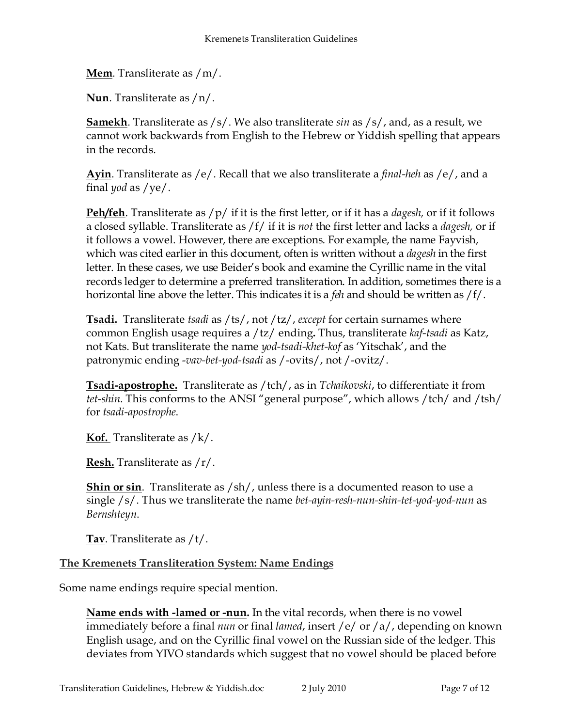Mem. Transliterate as /m/.

Nun. Transliterate as /n/.

**Samekh**. Transliterate as  $/s/$ . We also transliterate sin as  $/s/$ , and, as a result, we cannot work backwards from English to the Hebrew or Yiddish spelling that appears in the records.

Ayin. Transliterate as /e/. Recall that we also transliterate a *final-heh* as /e/, and a final *yod* as  $/ye/$ .

**Peh/feh.** Transliterate as  $/p/$  if it is the first letter, or if it has a *dagesh*, or if it follows a closed syllable. Transliterate as  $/f /$  if it is not the first letter and lacks a *dagesh*, or if it follows a vowel. However, there are exceptions. For example, the name Fayvish, which was cited earlier in this document, often is written without a *dagesh* in the first letter. In these cases, we use Beider's book and examine the Cyrillic name in the vital records ledger to determine a preferred transliteration. In addition, sometimes there is a horizontal line above the letter. This indicates it is a *feh* and should be written as  $/f/$ .

**Tsadi.** Transliterate tsadi as  $\frac{1}{s}$ , not  $\frac{1}{z}$ , except for certain surnames where common English usage requires a /tz/ ending. Thus, transliterate kaf-tsadi as Katz, not Kats. But transliterate the name *yod-tsadi-khet-kof* as 'Yitschak', and the patronymic ending -vav-bet-yod-tsadi as /-ovits/, not /-ovitz/.

**Tsadi-apostrophe.** Transliterate as /tch/, as in Tchaikovski, to differentiate it from tet-shin. This conforms to the ANSI "general purpose", which allows /tch/ and /tsh/ for tsadi-apostrophe.

**Kof.** Transliterate as  $/k$ .

**Resh.** Transliterate as  $/r/$ .

**Shin or sin.** Transliterate as  $\frac{\text{sh}}{\text{in}}$  unless there is a documented reason to use a single /s/. Thus we transliterate the name bet-ayin-resh-nun-shin-tet-yod-yod-nun as Bernshteyn.

Tav. Transliterate as  $/t/$ .

The Kremenets Transliteration System: Name Endings

Some name endings require special mention.

Name ends with -lamed or -nun. In the vital records, when there is no vowel immediately before a final *nun* or final *lamed*, insert /e/ or /a/, depending on known English usage, and on the Cyrillic final vowel on the Russian side of the ledger. This deviates from YIVO standards which suggest that no vowel should be placed before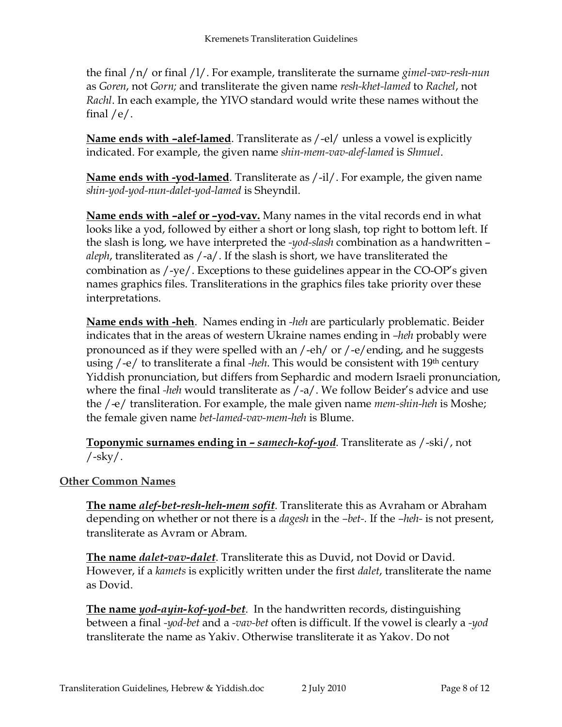the final  $/n/$  or final  $/1/$ . For example, transliterate the surname gimel-vav-resh-nun as Goren, not Gorn; and transliterate the given name resh-khet-lamed to Rachel, not Rachl. In each example, the YIVO standard would write these names without the final  $/e/$ .

Name ends with -alef-lamed. Transliterate as /-el/ unless a vowel is explicitly indicated. For example, the given name shin-mem-vav-alef-lamed is Shmuel.

Name ends with -yod-lamed. Transliterate as  $/$ -il/. For example, the given name shin-yod-yod-nun-dalet-yod-lamed is Sheyndil.

Name ends with –alef or –yod-vav. Many names in the vital records end in what looks like a yod, followed by either a short or long slash, top right to bottom left. If the slash is long, we have interpreted the -yod-slash combination as a handwritten aleph, transliterated as  $/$ -a $/$ . If the slash is short, we have transliterated the combination as /-ye/. Exceptions to these guidelines appear in the CO-OP's given names graphics files. Transliterations in the graphics files take priority over these interpretations.

**Name ends with -heh**. Names ending in -heh are particularly problematic. Beider indicates that in the areas of western Ukraine names ending in –heh probably were pronounced as if they were spelled with an /-eh/ or /-e/ending, and he suggests using  $\text{/-e/}$  to transliterate a final -heh. This would be consistent with 19<sup>th</sup> century Yiddish pronunciation, but differs from Sephardic and modern Israeli pronunciation, where the final -heh would transliterate as  $/ -a/$ . We follow Beider's advice and use the /-e/ transliteration. For example, the male given name mem-shin-heh is Moshe; the female given name bet-lamed-vav-mem-heh is Blume.

**Toponymic surnames ending in – samech-kof-yod.** Transliterate as /-ski/, not  $/\text{-sky}/$ .

## Other Common Names

The name alef-bet-resh-heh-mem sofit. Transliterate this as Avraham or Abraham depending on whether or not there is a *dagesh* in the *-bet-*. If the *-heh-* is not present, transliterate as Avram or Abram.

The name *dalet-vav-dalet*. Transliterate this as Duvid, not Dovid or David. However, if a kamets is explicitly written under the first dalet, transliterate the name as Dovid.

The name yod-ayin-kof-yod-bet. In the handwritten records, distinguishing between a final -yod-bet and a -vav-bet often is difficult. If the vowel is clearly a -yod transliterate the name as Yakiv. Otherwise transliterate it as Yakov. Do not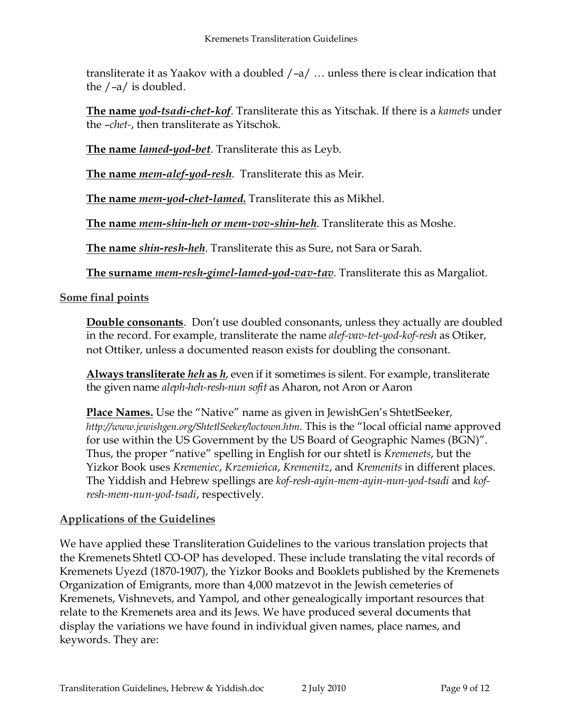transliterate it as Yaakov with a doubled /–a/ … unless there is clear indication that the /–a/ is doubled.

The name yod-tsadi-chet-kof. Transliterate this as Yitschak. If there is a kamets under the –chet-, then transliterate as Yitschok.

The name *lamed-yod-bet*. Transliterate this as Leyb.

The name *mem-alef-yod-resh*. Transliterate this as Meir.

The name *mem-yod-chet-lamed*. Transliterate this as Mikhel.

The name *mem-shin-heh or mem-vov-shin-heh*. Transliterate this as Moshe.

The name shin-resh-heh. Transliterate this as Sure, not Sara or Sarah.

The surname *mem-resh-gimel-lamed-yod-vav-tav*. Transliterate this as Margaliot.

# Some final points

**Double consonants**. Don't use doubled consonants, unless they actually are doubled in the record. For example, transliterate the name alef-vav-tet-yod-kof-resh as Otiker, not Ottiker, unless a documented reason exists for doubling the consonant.

Always transliterate heh as h, even if it sometimes is silent. For example, transliterate the given name aleph-heh-resh-nun sofit as Aharon, not Aron or Aaron

Place Names. Use the "Native" name as given in JewishGen's ShtetlSeeker, http://www.jewishgen.org/ShtetlSeeker/loctown.htm. This is the "local official name approved for use within the US Government by the US Board of Geographic Names (BGN)". Thus, the proper "native" spelling in English for our shtetl is Kremenets, but the Yizkor Book uses Kremeniec, Krzemieńca, Kremenitz, and Kremenits in different places. The Yiddish and Hebrew spellings are kof-resh-ayin-mem-ayin-nun-yod-tsadi and kofresh-mem-nun-yod-tsadi, respectively.

## Applications of the Guidelines

We have applied these Transliteration Guidelines to the various translation projects that the Kremenets Shtetl CO-OP has developed. These include translating the vital records of Kremenets Uyezd (1870-1907), the Yizkor Books and Booklets published by the Kremenets Organization of Emigrants, more than 4,000 matzevot in the Jewish cemeteries of Kremenets, Vishnevets, and Yampol, and other genealogically important resources that relate to the Kremenets area and its Jews. We have produced several documents that display the variations we have found in individual given names, place names, and keywords. They are: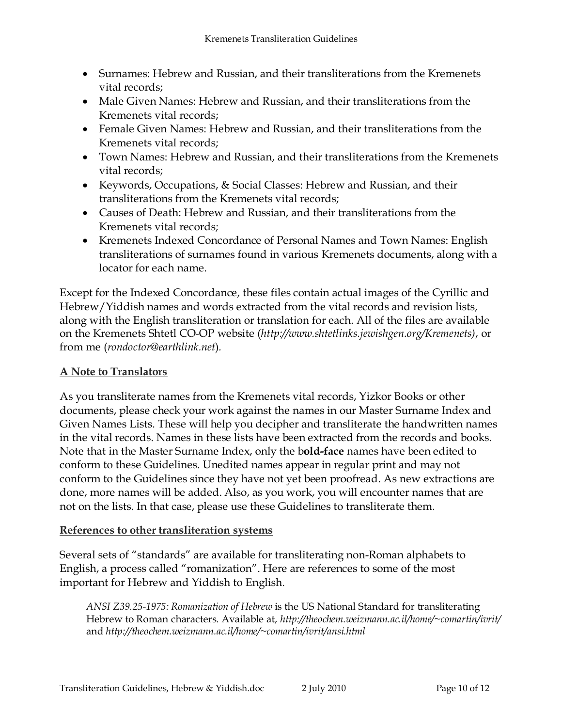- Surnames: Hebrew and Russian, and their transliterations from the Kremenets vital records;
- Male Given Names: Hebrew and Russian, and their transliterations from the Kremenets vital records;
- Female Given Names: Hebrew and Russian, and their transliterations from the Kremenets vital records;
- Town Names: Hebrew and Russian, and their transliterations from the Kremenets vital records;
- Keywords, Occupations, & Social Classes: Hebrew and Russian, and their transliterations from the Kremenets vital records;
- Causes of Death: Hebrew and Russian, and their transliterations from the Kremenets vital records;
- Kremenets Indexed Concordance of Personal Names and Town Names: English transliterations of surnames found in various Kremenets documents, along with a locator for each name.

Except for the Indexed Concordance, these files contain actual images of the Cyrillic and Hebrew/Yiddish names and words extracted from the vital records and revision lists, along with the English transliteration or translation for each. All of the files are available on the Kremenets Shtetl CO-OP website (http://www.shtetlinks.jewishgen.org/Kremenets), or from me (rondoctor@earthlink.net).

## A Note to Translators

As you transliterate names from the Kremenets vital records, Yizkor Books or other documents, please check your work against the names in our Master Surname Index and Given Names Lists. These will help you decipher and transliterate the handwritten names in the vital records. Names in these lists have been extracted from the records and books. Note that in the Master Surname Index, only the bold-face names have been edited to conform to these Guidelines. Unedited names appear in regular print and may not conform to the Guidelines since they have not yet been proofread. As new extractions are done, more names will be added. Also, as you work, you will encounter names that are not on the lists. In that case, please use these Guidelines to transliterate them.

## References to other transliteration systems

Several sets of "standards" are available for transliterating non-Roman alphabets to English, a process called "romanization". Here are references to some of the most important for Hebrew and Yiddish to English.

ANSI Z39.25-1975: Romanization of Hebrew is the US National Standard for transliterating Hebrew to Roman characters. Available at, http://theochem.weizmann.ac.il/home/~comartin/ivrit/ and http://theochem.weizmann.ac.il/home/~comartin/ivrit/ansi.html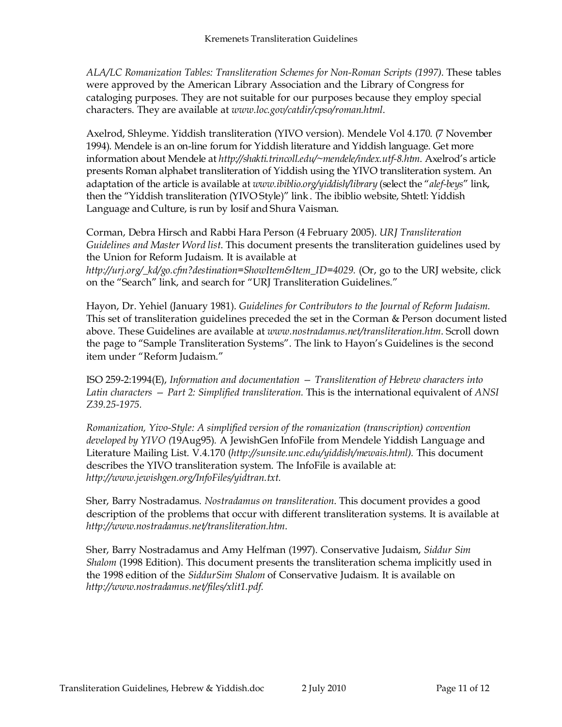ALA/LC Romanization Tables: Transliteration Schemes for Non-Roman Scripts (1997). These tables were approved by the American Library Association and the Library of Congress for cataloging purposes. They are not suitable for our purposes because they employ special characters. They are available at www.loc.gov/catdir/cpso/roman.html.

Axelrod, Shleyme. Yiddish transliteration (YIVO version). Mendele Vol 4.170. (7 November 1994). Mendele is an on-line forum for Yiddish literature and Yiddish language. Get more information about Mendele at http://shakti.trincoll.edu/~mendele/index.utf-8.htm. Axelrod's article presents Roman alphabet transliteration of Yiddish using the YIVO transliteration system. An adaptation of the article is available at www.ibiblio.org/yiddish/library (select the "alef-beys" link, then the "Yiddish transliteration (YIVO Style)" link. The ibiblio website, Shtetl: Yiddish Language and Culture, is run by Iosif and Shura Vaisman.

Corman, Debra Hirsch and Rabbi Hara Person (4 February 2005). URJ Transliteration Guidelines and Master Word list. This document presents the transliteration guidelines used by the Union for Reform Judaism. It is available at http://urj.org/\_kd/go.cfm?destination=ShowItem&Item\_ID=4029. (Or, go to the URJ website, click on the "Search" link, and search for "URJ Transliteration Guidelines."

Hayon, Dr. Yehiel (January 1981). Guidelines for Contributors to the Journal of Reform Judaism. This set of transliteration guidelines preceded the set in the Corman & Person document listed above. These Guidelines are available at www.nostradamus.net/transliteration.htm. Scroll down the page to "Sample Transliteration Systems". The link to Hayon's Guidelines is the second item under "Reform Judaism."

ISO 259-2:1994(E), Information and documentation — Transliteration of Hebrew characters into Latin characters – Part 2: Simplified transliteration. This is the international equivalent of ANSI Z39.25-1975.

Romanization, Yivo-Style: A simplified version of the romanization (transcription) convention developed by YIVO (19Aug95). A JewishGen InfoFile from Mendele Yiddish Language and Literature Mailing List. V.4.170 (http://sunsite.unc.edu/yiddish/mewais.html). This document describes the YIVO transliteration system. The InfoFile is available at: http://www.jewishgen.org/InfoFiles/yidtran.txt.

Sher, Barry Nostradamus. Nostradamus on transliteration. This document provides a good description of the problems that occur with different transliteration systems. It is available at http://www.nostradamus.net/transliteration.htm.

Sher, Barry Nostradamus and Amy Helfman (1997). Conservative Judaism, Siddur Sim Shalom (1998 Edition). This document presents the transliteration schema implicitly used in the 1998 edition of the SiddurSim Shalom of Conservative Judaism. It is available on http://www.nostradamus.net/files/xlit1.pdf.